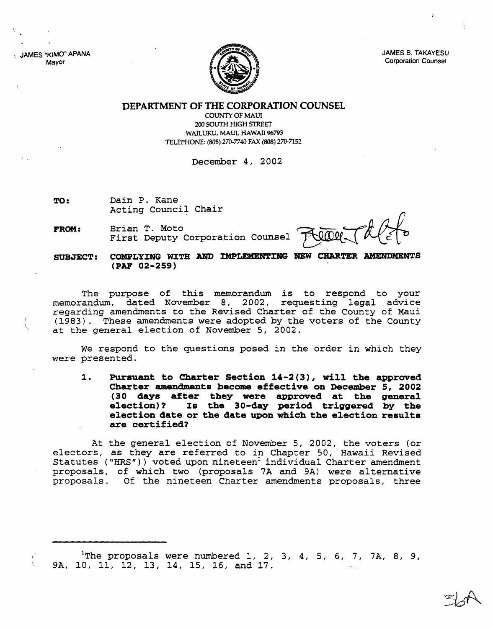JAMES "KIMO" APANA Mayor



JAMES 8. TAKAYESU Corporation Counsel

## **DEPARTMENT OF THE CORPORATION COUNSEL**

COUNTY OF MAUl 200 SOUTH HIGH STREET WAILUKU, MAUI, HAWAII 96793 TELEPHONE: (808) 270-7740 FAX (808) 270-7152

December 4, 2002

**TO:** Dain P. Kane Acting Council Chair

**FROM:** Brian T. Moto First Deputy Corporation Counsel

**SUBJECT: COMPLYING WITH AND DfPLEMENTIRG HEW CHARTER AMENDMENTS (PAF 02-259)**

The purpose of this memorandum is to respond to your memorandum, dated November 8, 2002, requesting legal advice regarding amendments to the Revised Charter of the County of Maui (1983). These amendments were adopted by the voters of the County at the general election of November 5, 2002.

We respond to the questions posed in the order in which they were presented.

**1. Pursuant to Charter Section 14-2 (3), will the approved Charter amendments become effective on December 5, 2002 (30 days after they were approved at the general election) ? Is the 30-day period triggered by the election date or the date upon which the election results are certified?**

At the general election of November 5, 2002, the voters (or electors, as they are referred to in Chapter 50, Hawaii Revised Statutes ("HRS")) voted upon nineteen<sup>1</sup> individual Charter amendment proposals, of which two (proposals 7A and 9A) were alternative proposals. Of the nineteen Charter amendments proposals, three

The proposals were numbered 1, 2, 3, 4, 5, 6, 7, 7A, 8, 9, 9A, 10, 11, 12, 13, 14, 15, 16, and 17.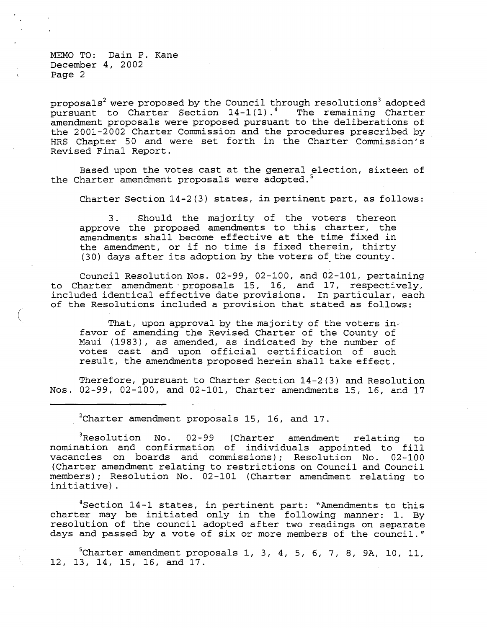(

proposals<sup>2</sup> were proposed by the Council through resolutions<sup>3</sup> adopted pursuant to Charter Section 14-1(1).4 The remaining Charter amendment proposals were proposed pursuant to the deliberations of the 2001-2002 Charter Commission and the procedures prescribed by HRS Chapter 50 and were set forth in the Charter Commission's Revised Final Report.

Based upon the votes cast at the general election, sixteen of the Charter amendment proposals were adopted.<sup>5</sup>

Charter Section 14-2(3) states, in pertinent part, as follows:

3. Should the majority of the voters thereon approve the proposed amendments to this charter, the amendments shall become effective at the time fixed in the amendment, or if no time is fixed therein, thirty (30) days after its adoption by the voters of the county.

Council Resolution Nos. 02-99, 02-100, and 02-101, pertaining to Charter amendment· proposals 15, 16, and 17, respectively, included identical effective date provisions. In particular, each of the Resolutions included a provision that stated as follows:

That, upon approval by the majority of the voters in. favor of amending the Revised Charter of the County of Maui (1983), as amended, as indicated by the number of votes cast and upon official certification of such result, the amendments proposed herein shall take effect.

Therefore, pursuant to Charter Section 14-2(3) and Resolution Nos. 02-99, 02-100, and 02-101, Charter amendments 15, 16, and 17

<sup>2</sup>Charter amendment proposals 15, 16, and 17.

<sup>3</sup>Resolution No. 02-99 (Charter amendment relating to nomination and confirmation of individuals appointed to fill vacancies on boards and commissions); Resolution No. 02-100 (Charter amendment relating to restrictions on Council and Council members); Resolution No. 02-101 (Charter amendment relating to initiative) .

<sup>4</sup>Section 14-1 states, in pertinent part: "Amendments to this charter may be initiated only in the following manner: 1. By resolution of the council adopted after two readings on separate days and passed by a vote of six or more members of the council."

 $5$ Charter amendment proposals 1, 3, 4, 5, 6, 7, 8, 9A, 10, 11, 12, 13, 14, 15, 16, and 17.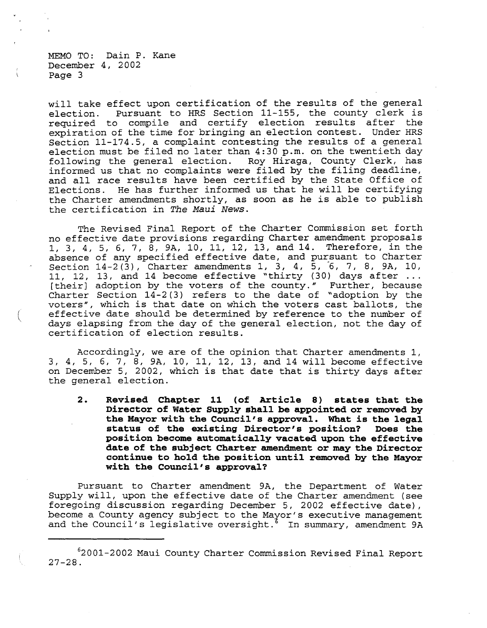(

will take effect upon certification of the results of the general<br>election. Pursuant to HRS Section 11-155, the county clerk is Pursuant to HRS Section 11-155, the county clerk is required to compile and certify election results after the expiration of the time for bringing an election contest. Under HRS Section 11-174.5, <sup>a</sup> complaint contesting the results of <sup>a</sup> general election must be filed no later than 4:30 p.m. on the twentieth day following the general election. Roy Hiraga, County Clerk, has informed us that no complaints were filed by the filing deadline, and all race results have been certified by the State Office of Elections. He has further informed us that he will be certifying the Charter amendments shortly, as soon as he is able to publish the certification in *The Maui News.*

The Revised Final Report of the Charter Commission set forth no effective date provisions regarding Charter amendment proposals 1, 3, 4, 5, 6, 7, 8, 9A, 10, 11, 12, 13, and 14. Therefore, in the absence of any specified effective date, and pursuant to Charter Section  $14-2(3)$ , Charter amendments 1, 3, 4, 5, 6, 7, 8, 9A, 10, 11, 12, 13, and 14 become effective "thirty (30) days after ... [their] adoption by the voters of the county." Further, because Charter Section 14-2(3) refers to the date of "adoption by the voters", which is that date on which the voters cast ballots, the effective date should be determined by reference to the number of days elapsing from the day of the general election, not the day of certification of election results.

Accordingly, we are of the opinion that Charter amendments 1, 3, 4, 5, 6, 7, 8, 9A, 10, 11, 12, 13, and 14 will become effective on December 5, 2002, which is that date that is thirty days after the general election.

**2. Revised Chapter 11 (of Article 8) states that the Director of Water Supply shall be appointed or removed by the Mayor with the Council's approval. What is the legal status** of the existing Director's position? **position become automatically vacated upon the effective date of the subj ect Charter amendment or may the Director continue to hold the position until removed by the Mayor with the Council's approval?**

Pursuant to Charter amendment 9A, the Department of Water Supply will, upon the effective date of the Charter amendment (see foregoing discussion regarding December 5, 2002 effective date), become a County agency subject to the Mayor's executive management and the Council's legislative oversight.<sup> $5$ </sup> In summary, amendment 9A

<sup>62001-2002</sup> Maui County Charter Commission Revised Final Report  $27 - 28$ .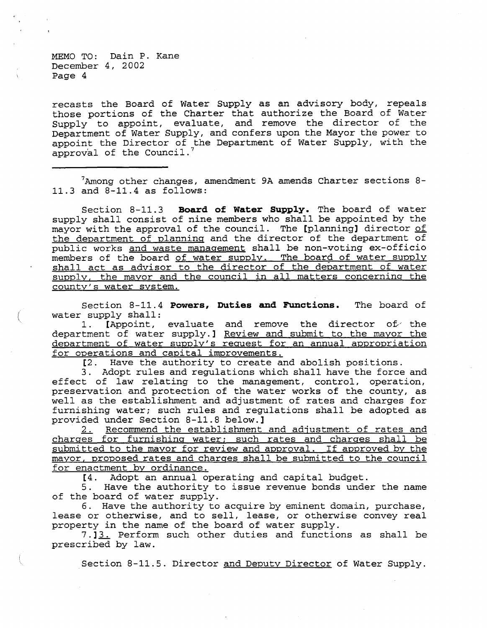recasts the Board of Water Supply as an advisory body, repeals those portions of the Charter that authorize the Board of Water Supply to appoint, evaluate, and remove the director of the Department of Water Supply, and confers upon the Mayor the power to appoint the Director of the Department of Water Supply, with the  $approv$ al of the Council.<sup>7</sup>

 $7$ Among other changes, amendment 9A amends Charter sections 8-11.3 and 8-11.4 as follows:

Section 8-11.3 **Board of Water Supply.** The board of water supply shall consist of nine members who shall be appointed by the mayor with the approval of the council. The [planning] director of the department of planning and the director of the department of public works and waste management shall be non-voting ex-officio members of the board of water supply. The board of water supply shall act as advisor to the director of the department of water supply, the mayor and the council in all matters concerning the county's water system.

Section 8-11.4 **Powers, Duties and Functions.** The board of water supply shall:

1. [Appoint, evaluate and remove the director of the department of water supply.] Review and submit to the mayor the department of water supply's request for an annual appropriation for operations and capital improvements.

[2. Have the authority to create and abolish positions.

3. Adopt rules and regulations which shall have the force and effect of law relating to the management, control, operation, preservation and protection of the water works of the county, as well as the establishment and adjustment of rates and charges for furnishing water; such rules and regulations shall be adopted as provided under Section 8-11.8 below.]

Recommend the establishment and adjustment of rates and charges for furnishing water; such rates and charges shall be submitted to the mayor for review and approval. If approved by the mayor, proposed rates and charges shall be submitted to the council for enactment by ordinance.

[4. Adopt an annual operating and capital budget.

5. Have the authority to issue revenue bonds under the name of the board of water supply.

6. Have the authority to acquire by eminent domain, purchase, lease or otherwise, and to sell, lease, or otherwise convey real property in the name of the board of water supply.

7.13. Perform such other duties and functions as shall be prescribed by law.

Section 8-11.5. Director and Deputy Director of Water Supply.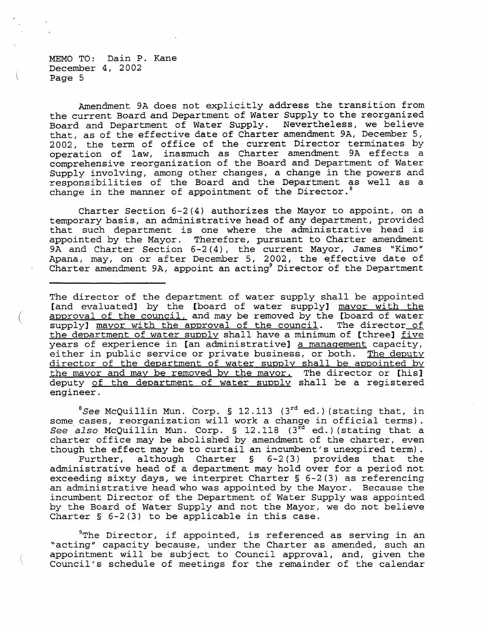(

Amendment 9A does not explicitly address the transition from the current Board and Department of Water Supply to the reorganized Board and Department of Water Supply. Nevertheless, we believe that, as of the effective date of Charter amendment 9A, December 5, 2002, the term of office of the current Director terminates by operation of law, inasmuch as Charter amendment 9A effects a comprehensive reorganization of the Board and Department of Water Supply involving, among other changes, a change in the powers and responsibilities of the Board and the Department as well as <sup>a</sup> change in the manner of appointment of the Director.<sup>8</sup>

Charter Section 6-2(4) authorizes the Mayor to appoint, on a temporary basis, an administrative head of any department, provided that such department is one where the administrative head is appointed by the Mayor. Therefore, pursuant to Charter amendment 9A and Charter Section 6-2(4), the current Mayor, James "Kimo" Apana, may, on or after December 5, 2002, the effective date of Charter amendment 9A, appoint an acting<sup>9</sup> Director of the Department

The director of the department of water supply shall be appointed [and evaluated] by the [board of water supply] mayor with the approval of the council, and may be removed by the [board of water supply] mayor with the approval of the council. The director of the department of water supply shall have a minimum of [three] five years of experience in [an administrative] a management capacity, either in public service or private business, or both. The deputy director of the department of water supply shall be appointed by the mayor and may be removed by the mayor. The director or [his] deputy of the department of water supply shall be a registered engineer.

<sup>8</sup>See McQuillin Mun. Corp. § 12.113 (3<sup>rd</sup> ed.) (stating that, in some cases, reorganization will work a change in official terms). See also McQuillin Mun. Corp. § 12.118 (3rd ed.) (stating that a charter office may be abolished by amendment of the charter, even though the effect may be to curtail an incumbent's unexpired term) . Further, although Charter § 6-2(3) provides that the administrative head of a department may hold over for a period not exceeding sixty days, we interpret Charter § 6-2(3) as referencing an administrative head who was appointed by the Mayor. Because the incumbent Director of the Department of Water Supply was appointed by the Board of Water Supply and not the Mayor, we do not believe Charter  $\S$  6-2(3) to be applicable in this case.

 $9$ The Director, if appointed, is referenced as serving in an "acting" capacity because, under the Charter as amended, such an appointment will be subject to Council approval, and, given the Council's schedule of meetings for the remainder of the calendar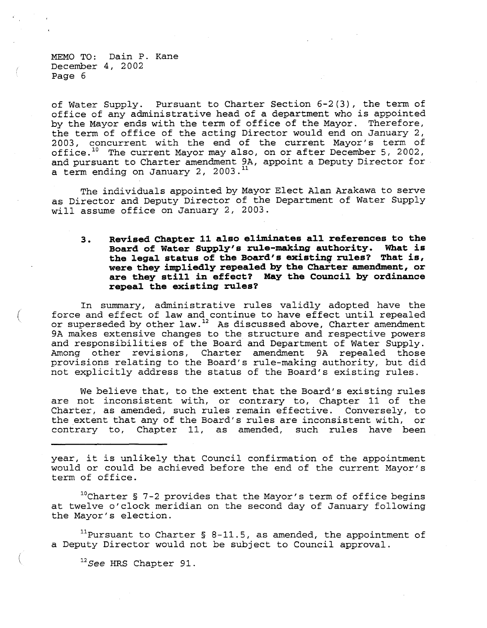(

(

of Water Supply. Pursuant to Charter Section 6-2(3), the term of office of any administrative head of <sup>a</sup> department who is appointed by the Mayor ends with the term of office of the Mayor. Therefore, the term of office of the acting Director would end on January 2, 2003, concurrent with the end of the current Mayor's term of office.<sup>10</sup> The current Mayor may also, on or after December 5, 2002, and pursuant to Charter amendment 9A, appoint a Deputy Director for a term ending on January 2, 2003.<sup>11</sup>

The individuals appointed by Mayor Elect Alan Arakawa to serve as Director and Deputy Director of the Department of Water Supply will assume office on January 2, 2003.

**3. Revised Chapter 11 also eliminates all references to the Board of Water Supply's rule-making authority. What is the legal status of the Board's existing rules? That is, were they impliedly repealed by the Charter amendment, or are they still in effect? May the Council by ordinance repeal the existing rules?**

In summary, administrative rules validly adopted have the force and effect of law and continue to have effect until repealed or superseded by other law.<sup>12</sup> As discussed above, Charter amendment 9A makes extensive changes to the structure and respective powers and responsibilities of the Board and Department of Water Supply. Among other revisions, Charter amendment 9A repealed those provisions relating to the Board's rule-making authority, but did not explicitly address the status of the Board's existing rules.

We believe that, to the extent that the Board's existing rules are not inconsistent with, or contrary to, Chapter 11 of the Charter, as amended, such rules remain effective. Conversely, to the extent that any of the Board's rules are inconsistent with, or contrary to, Chapter 11, as amended, such rules have been

year, it is unlikely that Council confirmation of the appointment would or could be achieved before the end of the current Mayor's term of office.

l°Charter § 7-2 provides that the Mayor's term of office begins at twelve o'clock meridian on the second day of January following the Mayor's election.

<sup>11</sup>Pursuant to Charter § 8-11.5, as amended, the appointment of a Deputy Director would not be subject to Council approval.

<sup>12</sup>See HRS Chapter 91.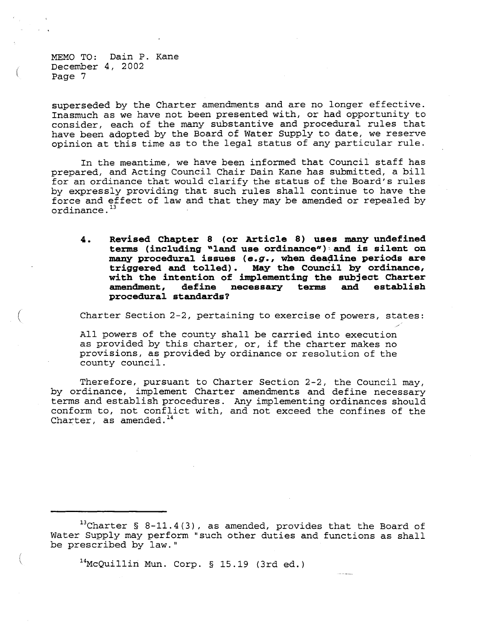(

(

superseded by the Charter amendments and are no longer effective. Inasmuch as we have not been presented with, or had opportunity to consider, each of the many substantive and procedural rules that have been adopted by the Board of Water Supply to date, we reserve opinion at this time as to the legal status of any particular rule.

In the meantime, we have been informed that Council staff has prepared, and Acting Council Chair Dain Kane has submitted, <sup>a</sup> bill for an ordinance that would clarify the status of the Board's rules by expressly providing that such rules shall continue to have the force and effect of law and that they may be amended or repealed by ordinance. <sup>13</sup>

**4. Revised Chapter 8 (or Article 8) uses :many undefined terms (including "land use** ordinance"): and **is silent on :many procedural issues** *(e.g.,* **when deadline periods are triggered and tolled). May the Council** by ordinance, **with the intention of implementing the subject Charter amendment, define necessary terms and establish procedural standards?**

Charter Section 2-2, pertaining to exercise of powers, states:

All powers of the county shall be carried into execution as provided by this charter, or, if the charter makes no provisions, as provided by ordinance or resolution of the county council.

Therefore, pursuant to Charter Section 2-2, the Council may, by ordinance, implement Charter amendments and define necessary terms and establish procedures. Any implementing ordinances should conform to, not conflict with, and not exceed the confines of the Charter, as amended.<sup>14</sup>

13Charter § 8-11.4(3), as amended, provides that the Board of Water Supply may perform "such other duties and functions as shall be prescribed by law."

14McQuillin Mun. Corp. § 15.19 (3rd ed.)